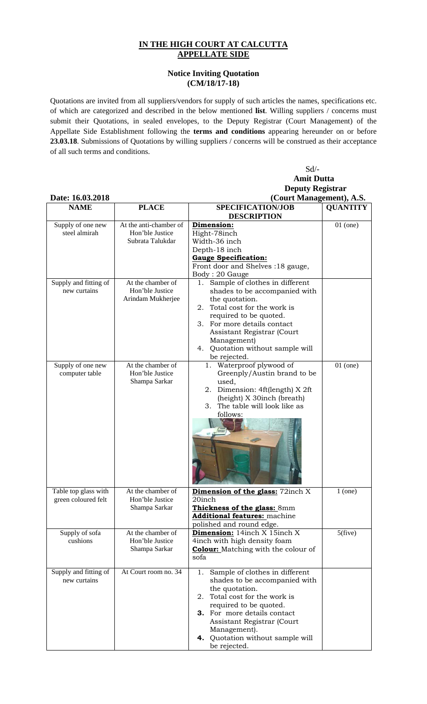## **IN THE HIGH COURT AT CALCUTTA APPELLATE SIDE**

## **Notice Inviting Quotation (CM/18/17-18)**

Quotations are invited from all suppliers/vendors for supply of such articles the names, specifications etc. of which are categorized and described in the below mentioned **list**. Willing suppliers / concerns must submit their Quotations, in sealed envelopes, to the Deputy Registrar (Court Management) of the Appellate Side Establishment following the **terms and conditions** appearing hereunder on or before **23.03.18**. Submissions of Quotations by willing suppliers / concerns will be construed as their acceptance of all such terms and conditions.

Sd/-

|                            |                                      | <b>Amit Dutta</b>                                                          |                 |
|----------------------------|--------------------------------------|----------------------------------------------------------------------------|-----------------|
|                            |                                      | <b>Deputy Registrar</b>                                                    |                 |
| Date: 16.03.2018           |                                      | (Court Management), A.S.                                                   |                 |
| <b>NAME</b>                | <b>PLACE</b>                         | SPECIFICATION/JOB                                                          | <b>QUANTITY</b> |
|                            |                                      | <b>DESCRIPTION</b>                                                         |                 |
| Supply of one new          | At the anti-chamber of               | Dimension:                                                                 | $01$ (one)      |
| steel almirah              | Hon'ble Justice                      | Hight-78inch                                                               |                 |
|                            | Subrata Talukdar                     | Width-36 inch                                                              |                 |
|                            |                                      | Depth-18 inch                                                              |                 |
|                            |                                      | <b>Gauge Specification:</b><br>Front door and Shelves :18 gauge,           |                 |
|                            |                                      |                                                                            |                 |
| Supply and fitting of      | At the chamber of                    | Body: 20 Gauge<br>Sample of clothes in different<br>1.                     |                 |
| new curtains               | Hon'ble Justice                      | shades to be accompanied with                                              |                 |
|                            | Arindam Mukherjee                    | the quotation.                                                             |                 |
|                            |                                      | 2. Total cost for the work is                                              |                 |
|                            |                                      | required to be quoted.                                                     |                 |
|                            |                                      | 3. For more details contact                                                |                 |
|                            |                                      | Assistant Registrar (Court                                                 |                 |
|                            |                                      | Management)                                                                |                 |
|                            |                                      | 4. Quotation without sample will                                           |                 |
|                            |                                      | be rejected.                                                               |                 |
| Supply of one new          | At the chamber of                    | 1. Waterproof plywood of                                                   | $01$ (one)      |
| computer table             | Hon'ble Justice                      | Greenply/Austin brand to be                                                |                 |
|                            | Shampa Sarkar                        | used,                                                                      |                 |
|                            |                                      | 2. Dimension: 4ft(length) X 2ft                                            |                 |
|                            |                                      | (height) X 30inch (breath)                                                 |                 |
|                            |                                      | The table will look like as<br>3.                                          |                 |
|                            |                                      | follows:                                                                   |                 |
|                            |                                      |                                                                            |                 |
|                            |                                      | mm                                                                         |                 |
|                            |                                      |                                                                            |                 |
|                            |                                      |                                                                            |                 |
|                            |                                      |                                                                            |                 |
|                            |                                      |                                                                            |                 |
|                            |                                      |                                                                            |                 |
|                            |                                      |                                                                            |                 |
| Table top glass with       | At the chamber of                    | Dimension of the glass: 72inch X                                           | $1$ (one)       |
| green coloured felt        | Hon'ble Justice                      | 20inch                                                                     |                 |
|                            | Shampa Sarkar                        | Thickness of the glass: 8mm                                                |                 |
|                            |                                      | <b>Additional features: machine</b>                                        |                 |
|                            |                                      | polished and round edge.                                                   |                 |
| Supply of sofa<br>cushions | At the chamber of<br>Hon'ble Justice | Dimension: 14inch X 15inch X                                               | $5$ (five)      |
|                            | Shampa Sarkar                        | 4inch with high density foam<br><b>Colour:</b> Matching with the colour of |                 |
|                            |                                      | sofa                                                                       |                 |
|                            |                                      |                                                                            |                 |
| Supply and fitting of      | At Court room no. 34                 | Sample of clothes in different<br>1.                                       |                 |
| new curtains               |                                      | shades to be accompanied with                                              |                 |
|                            |                                      | the quotation.                                                             |                 |
|                            |                                      | Total cost for the work is<br>2.                                           |                 |
|                            |                                      | required to be quoted.                                                     |                 |
|                            |                                      | <b>3.</b> For more details contact                                         |                 |
|                            |                                      | Assistant Registrar (Court                                                 |                 |

Management).

be rejected.

**4.** Quotation without sample will